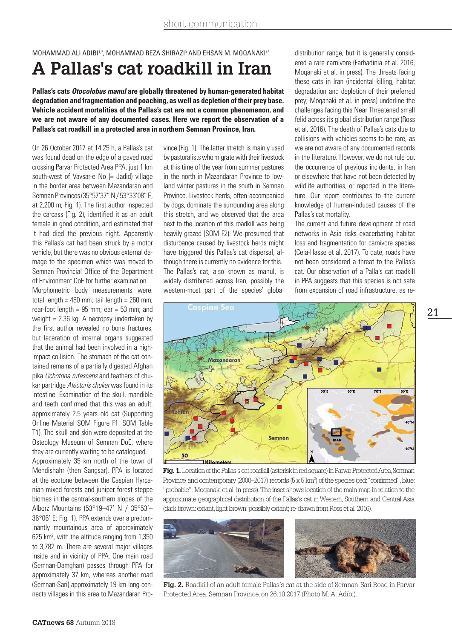## MOHAMMAD ALI ADIBI14, MOHAMMAD REZA SHIRAZI3 AND EHSAN M. MOQANAKI4\* **A Pallas's cat roadkill in Iran**

**Pallas's cats** *Otocolobus manul* **are globally threatened by human-generated habitat degradation and fragmentation and poaching, as well as depletion of their prey base. Vehicle accident mortalities of the Pallas's cat are not a common phenomenon, and we are not aware of any documented cases. Here we report the observation of a Pallas's cat roadkill in a protected area in northern Semnan Province, Iran.**

On 26 October 2017 at 14:25 h, a Pallas's cat was found dead on the edge of a paved road crossing Parvar Protected Area PPA, just 1 km south-west of Vavsar-e No (= Jadid) village in the border area between Mazandaran and Semnan Provinces (35°57'37" N / 53°33'08" E, at 2,200 m; Fig. 1). The first author inspected the carcass (Fig. 2), identified it as an adult female in good condition, and estimated that it had died the previous night. Apparently this Pallas's cat had been struck by a motor vehicle, but there was no obvious external damage to the specimen which was moved to Semnan Provincial Office of the Department of Environment DoE for further examination.

Morphometric body measurements were: total length =  $480$  mm; tail length =  $260$  mm; rear-foot length =  $95$  mm; ear =  $53$  mm; and weight = 2.36 kg. A necropsy undertaken by the first author revealed no bone fractures, but laceration of internal organs suggested that the animal had been involved in a highimpact collision. The stomach of the cat contained remains of a partially digested Afghan pika Ochotona rufescens and feathers of chukar partridge *Alectoris chukar* was found in its intestine. Examination of the skull, mandible and teeth confirmed that this was an adult, approximately 2.5 years old cat (Supporting Online Material SOM Figure F1, SOM Table T1). The skull and skin were deposited at the Osteology Museum of Semnan DoE, where they are currently waiting to be catalogued.

Approximately 35 km north of the town of Mehdishahr (then Sangsar), PPA is located at the ecotone between the Caspian Hyrcanian mixed forests and juniper forest steppe biomes in the central-southern slopes of the Alborz Mountains (53°19–47' N / 35°53'– 36°06' E; Fig. 1). PPA extends over a predominantly mountainous area of approximately 625 km2 , with the altitude ranging from 1,350 to 3,782 m. There are several major villages inside and in vicinity of PPA. One main road (Semnan-Damghan) passes through PPA for approximately 37 km, whereas another road (Semnan-Sari) approximately 19 km long connects villages in this area to Mazandaran Province (Fig. 1). The latter stretch is mainly used by pastoralists who migrate with their livestock at this time of the year from summer pastures in the north in Mazandaran Province to lowland winter pastures in the south in Semnan Province. Livestock herds, often accompanied by dogs, dominate the surrounding area along this stretch, and we observed that the area next to the location of this roadkill was being heavily grazed (SOM F2). We presumed that disturbance caused by livestock herds might have triggered this Pallas's cat dispersal, although there is currently no evidence for this. The Pallas's cat, also known as manul, is widely distributed across Iran, possibly the western-most part of the species' global

distribution range, but it is generally considered a rare carnivore (Farhadinia et al. 2016, Moqanaki et al. in press). The threats facing these cats in Iran (incidental killing, habitat degradation and depletion of their preferred prey; Moqanaki et al. in press) underline the challenges facing this Near Threatened small felid across its global distribution range (Ross et al. 2016). The death of Pallas's cats due to collisions with vehicles seems to be rare, as we are not aware of any documented records in the literature. However, we do not rule out the occurrence of previous incidents, in Iran or elsewhere that have not been detected by wildlife authorities, or reported in the literature. Our report contributes to the current knowledge of human-induced causes of the Pallas's cat mortality.

The current and future development of road networks in Asia risks exacerbating habitat loss and fragmentation for carnivore species (Ceia-Hasse et al. 2017). To date, roads have not been considered a threat to the Pallas's cat. Our observation of a Palla's cat roadkill in PPA suggests that this species is not safe from expansion of road infrastructure, as re-



**Fig. 1.** Location of the Pallas's cat roadkill (asterisk in red square) in Parvar Protected Area, Semnan Province, and contemporary (2000–2017) records (5 x 5 km<sup>2</sup>) of the species (red: "confirmed", blue: "probable"; Moqanaki et al. in press). The inset shows location of the main map in relation to the approximate geographical distribution of the Pallas's cat in Western, Southern and Central Asia (dark brown: extant, light brown: possibly extant; re-drawn from Ross et al. 2016).





**Fig. 2.** Roadkill of an adult female Pallas's cat at the side of Semnan-Sari Road in Parvar Protected Area, Semnan Province, on 26.10.2017 (Photo M. A. Adibi).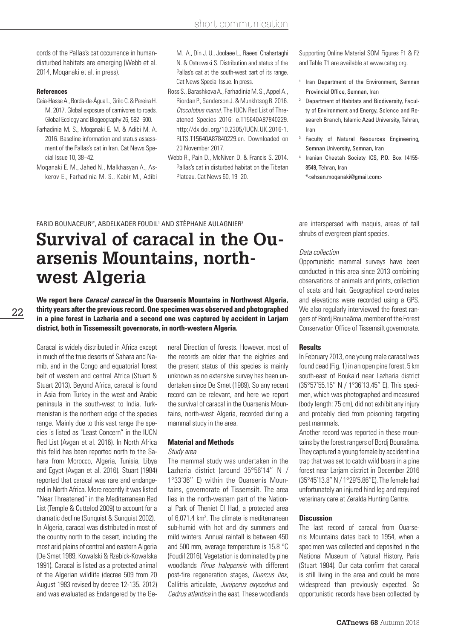## short communication

cords of the Pallas's cat occurrence in humandisturbed habitats are emerging (Webb et al. 2014, Moqanaki et al. in press).

## **References**

- Ceia-Hasse A., Borda-de-Água L., Grilo C. & Pereira H. M. 2017. Global exposure of carnivores to roads. Global Ecology and Biogeography 26, 592–600. Farhadinia M. S., Moqanaki E. M. & Adibi M. A. 2016. Baseline information and status assessment of the Pallas's cat in Iran. Cat News Special Issue 10, 38–42.
- Moqanaki E. M., Jahed N., Malkhasyan A., Askerov E., Farhadinia M. S., Kabir M., Adibi

M. A., Din J. U., Joolaee L., Raeesi Chahartaghi N. & Ostrowski S. Distribution and status of the Pallas's cat at the south-west part of its range. Cat News Special Issue. In press.

Ross S., Barashkova A., Farhadinia M. S., Appel A., Riordan P., Sanderson J. & Munkhtsog B. 2016. *Otocolobus manul* The IUCN Red List of Threatened Species 2016: e.T15640A87840229. http://dx.doi.org/10.2305/IUCN.UK.2016-1. RLTS.T15640A87840229.en. Downloaded on 20 November 2017.

Webb R., Pain D., McNiven D. & Francis S. 2014. Pallas's cat in disturbed habitat on the Tibetan Plateau. Cat News 60, 19–20.

Supporting Online Material SOM Figures F1 & F2 and Table T1 are available at www.catsg.org.

- Iran Department of the Environment, Semnan Provincial Office, Semnan, Iran
- <sup>2</sup> Department of Habitats and Biodiversity, Faculty of Environment and Energy, Science and Research Branch, Islamic Azad University, Tehran, Iran
- Faculty of Natural Resources Engineering, Semnan University, Semnan, Iran
- Iranian Cheetah Society ICS, P.O. Box 14155-8549, Tehran, Iran

\*<ehsan.moqanaki@gmail.com>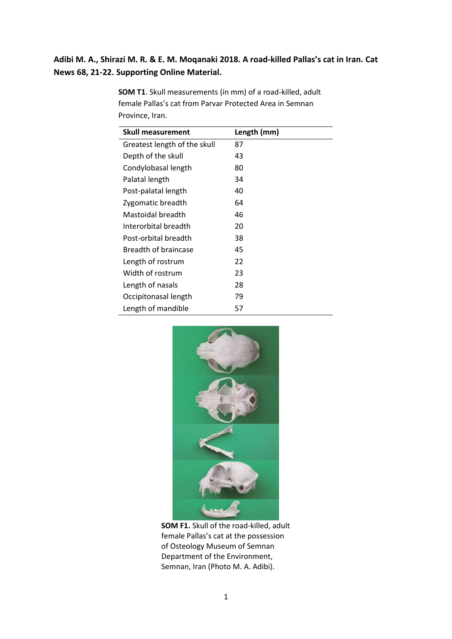## **Adibi M. A., Shirazi M. R. & E. M. Moqanaki 2018. A road-killed Pallas's cat in Iran. Cat News 68, 21-22. Supporting Online Material.**

| <b>Skull measurement</b>     | Length (mm) |
|------------------------------|-------------|
| Greatest length of the skull | 87          |
| Depth of the skull           | 43          |
| Condylobasal length          | 80          |
| Palatal length               | 34          |
| Post-palatal length          | 40          |
| Zygomatic breadth            | 64          |
| Mastoidal breadth            | 46          |
| Interorbital breadth         | 20          |
| Post-orbital breadth         | 38          |
| Breadth of braincase         | 45          |
| Length of rostrum            | 22          |
| Width of rostrum             | 23          |
| Length of nasals             | 28          |
| Occipitonasal length         | 79          |
| Length of mandible           | 57          |

**SOM T1**. Skull measurements (in mm) of a road-killed, adult female Pallas's cat from Parvar Protected Area in Semnan Province, Iran.



**SOM F1.** Skull of the road-killed, adult female Pallas's cat at the possession of Osteology Museum of Semnan Department of the Environment, Semnan, Iran (Photo M. A. Adibi).